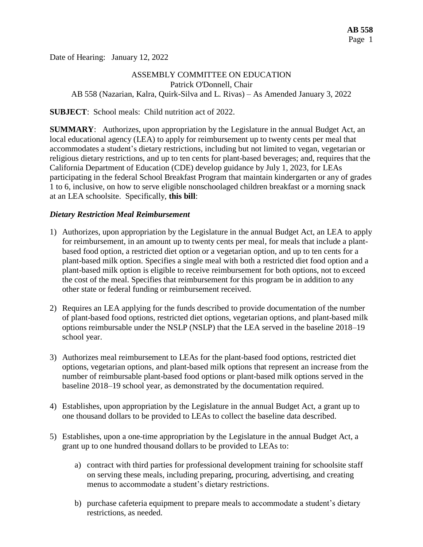Date of Hearing: January 12, 2022

## ASSEMBLY COMMITTEE ON EDUCATION Patrick O'Donnell, Chair AB 558 (Nazarian, Kalra, Quirk-Silva and L. Rivas) – As Amended January 3, 2022

**SUBJECT**: School meals: Child nutrition act of 2022.

**SUMMARY**: Authorizes, upon appropriation by the Legislature in the annual Budget Act, an local educational agency (LEA) to apply for reimbursement up to twenty cents per meal that accommodates a student's dietary restrictions, including but not limited to vegan, vegetarian or religious dietary restrictions, and up to ten cents for plant-based beverages; and, requires that the California Department of Education (CDE) develop guidance by July 1, 2023, for LEAs participating in the federal School Breakfast Program that maintain kindergarten or any of grades 1 to 6, inclusive, on how to serve eligible nonschoolaged children breakfast or a morning snack at an LEA schoolsite.Specifically, **this bill**:

### *Dietary Restriction Meal Reimbursement*

- 1) Authorizes, upon appropriation by the Legislature in the annual Budget Act, an LEA to apply for reimbursement, in an amount up to twenty cents per meal, for meals that include a plantbased food option, a restricted diet option or a vegetarian option, and up to ten cents for a plant-based milk option. Specifies a single meal with both a restricted diet food option and a plant-based milk option is eligible to receive reimbursement for both options, not to exceed the cost of the meal. Specifies that reimbursement for this program be in addition to any other state or federal funding or reimbursement received.
- 2) Requires an LEA applying for the funds described to provide documentation of the number of plant-based food options, restricted diet options, vegetarian options, and plant-based milk options reimbursable under the NSLP (NSLP) that the LEA served in the baseline 2018–19 school year.
- 3) Authorizes meal reimbursement to LEAs for the plant-based food options, restricted diet options, vegetarian options, and plant-based milk options that represent an increase from the number of reimbursable plant-based food options or plant-based milk options served in the baseline 2018–19 school year, as demonstrated by the documentation required.
- 4) Establishes, upon appropriation by the Legislature in the annual Budget Act, a grant up to one thousand dollars to be provided to LEAs to collect the baseline data described.
- 5) Establishes, upon a one-time appropriation by the Legislature in the annual Budget Act, a grant up to one hundred thousand dollars to be provided to LEAs to:
	- a) contract with third parties for professional development training for schoolsite staff on serving these meals, including preparing, procuring, advertising, and creating menus to accommodate a student's dietary restrictions.
	- b) purchase cafeteria equipment to prepare meals to accommodate a student's dietary restrictions, as needed.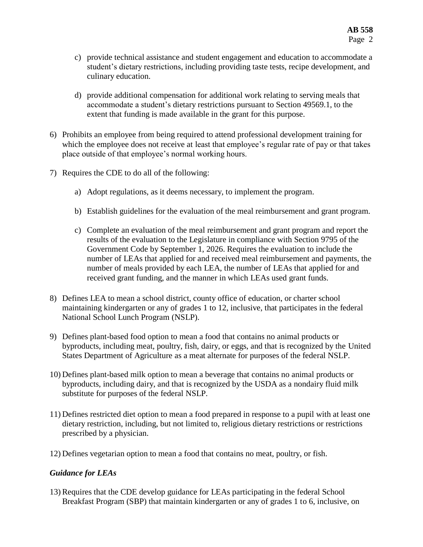- c) provide technical assistance and student engagement and education to accommodate a student's dietary restrictions, including providing taste tests, recipe development, and culinary education.
- d) provide additional compensation for additional work relating to serving meals that accommodate a student's dietary restrictions pursuant to Section 49569.1, to the extent that funding is made available in the grant for this purpose.
- 6) Prohibits an employee from being required to attend professional development training for which the employee does not receive at least that employee's regular rate of pay or that takes place outside of that employee's normal working hours.
- 7) Requires the CDE to do all of the following:
	- a) Adopt regulations, as it deems necessary, to implement the program.
	- b) Establish guidelines for the evaluation of the meal reimbursement and grant program.
	- c) Complete an evaluation of the meal reimbursement and grant program and report the results of the evaluation to the Legislature in compliance with Section 9795 of the Government Code by September 1, 2026. Requires the evaluation to include the number of LEAs that applied for and received meal reimbursement and payments, the number of meals provided by each LEA, the number of LEAs that applied for and received grant funding, and the manner in which LEAs used grant funds.
- 8) Defines LEA to mean a school district, county office of education, or charter school maintaining kindergarten or any of grades 1 to 12, inclusive, that participates in the federal National School Lunch Program (NSLP).
- 9) Defines plant-based food option to mean a food that contains no animal products or byproducts, including meat, poultry, fish, dairy, or eggs, and that is recognized by the United States Department of Agriculture as a meat alternate for purposes of the federal NSLP.
- 10) Defines plant-based milk option to mean a beverage that contains no animal products or byproducts, including dairy, and that is recognized by the USDA as a nondairy fluid milk substitute for purposes of the federal NSLP.
- 11) Defines restricted diet option to mean a food prepared in response to a pupil with at least one dietary restriction, including, but not limited to, religious dietary restrictions or restrictions prescribed by a physician.
- 12) Defines vegetarian option to mean a food that contains no meat, poultry, or fish.

## *Guidance for LEAs*

13) Requires that the CDE develop guidance for LEAs participating in the federal School Breakfast Program (SBP) that maintain kindergarten or any of grades 1 to 6, inclusive, on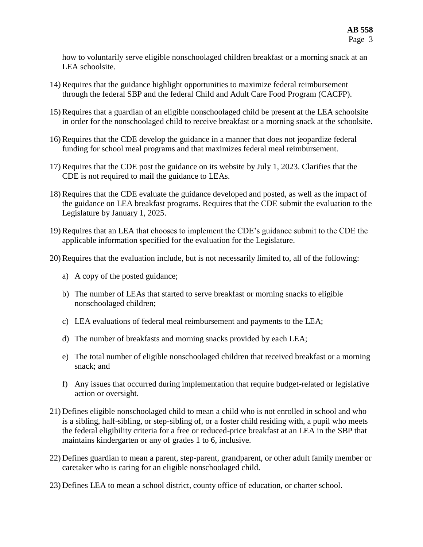how to voluntarily serve eligible nonschoolaged children breakfast or a morning snack at an LEA schoolsite.

- 14) Requires that the guidance highlight opportunities to maximize federal reimbursement through the federal SBP and the federal Child and Adult Care Food Program (CACFP).
- 15) Requires that a guardian of an eligible nonschoolaged child be present at the LEA schoolsite in order for the nonschoolaged child to receive breakfast or a morning snack at the schoolsite.
- 16) Requires that the CDE develop the guidance in a manner that does not jeopardize federal funding for school meal programs and that maximizes federal meal reimbursement.
- 17) Requires that the CDE post the guidance on its website by July 1, 2023. Clarifies that the CDE is not required to mail the guidance to LEAs.
- 18) Requires that the CDE evaluate the guidance developed and posted, as well as the impact of the guidance on LEA breakfast programs. Requires that the CDE submit the evaluation to the Legislature by January 1, 2025.
- 19) Requires that an LEA that chooses to implement the CDE's guidance submit to the CDE the applicable information specified for the evaluation for the Legislature.
- 20) Requires that the evaluation include, but is not necessarily limited to, all of the following:
	- a) A copy of the posted guidance;
	- b) The number of LEAs that started to serve breakfast or morning snacks to eligible nonschoolaged children;
	- c) LEA evaluations of federal meal reimbursement and payments to the LEA;
	- d) The number of breakfasts and morning snacks provided by each LEA;
	- e) The total number of eligible nonschoolaged children that received breakfast or a morning snack; and
	- f) Any issues that occurred during implementation that require budget-related or legislative action or oversight.
- 21) Defines eligible nonschoolaged child to mean a child who is not enrolled in school and who is a sibling, half-sibling, or step-sibling of, or a foster child residing with, a pupil who meets the federal eligibility criteria for a free or reduced-price breakfast at an LEA in the SBP that maintains kindergarten or any of grades 1 to 6, inclusive.
- 22) Defines guardian to mean a parent, step-parent, grandparent, or other adult family member or caretaker who is caring for an eligible nonschoolaged child.
- 23) Defines LEA to mean a school district, county office of education, or charter school.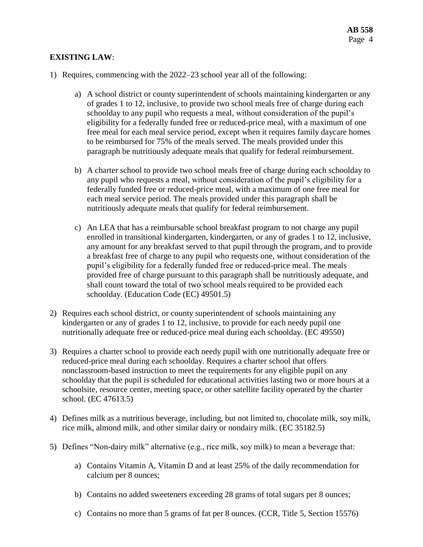### **EXISTING LAW**:

- 1) Requires, commencing with the 2022–23 school year all of the following:
	- a) A school district or county superintendent of schools maintaining kindergarten or any of grades 1 to 12, inclusive, to provide two school meals free of charge during each schoolday to any pupil who requests a meal, without consideration of the pupil's eligibility for a federally funded free or reduced-price meal, with a maximum of one free meal for each meal service period, except when it requires family daycare homes to be reimbursed for 75% of the meals served. The meals provided under this paragraph be nutritiously adequate meals that qualify for federal reimbursement.
	- b) A charter school to provide two school meals free of charge during each schoolday to any pupil who requests a meal, without consideration of the pupil's eligibility for a federally funded free or reduced-price meal, with a maximum of one free meal for each meal service period. The meals provided under this paragraph shall be nutritiously adequate meals that qualify for federal reimbursement.
	- c) An LEA that has a reimbursable school breakfast program to not charge any pupil enrolled in transitional kindergarten, kindergarten, or any of grades 1 to 12, inclusive, any amount for any breakfast served to that pupil through the program, and to provide a breakfast free of charge to any pupil who requests one, without consideration of the pupil's eligibility for a federally funded free or reduced-price meal. The meals provided free of charge pursuant to this paragraph shall be nutritiously adequate, and shall count toward the total of two school meals required to be provided each schoolday. (Education Code (EC) 49501.5)
- 2) Requires each school district, or county superintendent of schools maintaining any kindergarten or any of grades 1 to 12, inclusive, to provide for each needy pupil one nutritionally adequate free or reduced-price meal during each schoolday. (EC 49550)
- 3) Requires a charter school to provide each needy pupil with one nutritionally adequate free or reduced-price meal during each schoolday. Requires a charter school that offers nonclassroom-based instruction to meet the requirements for any eligible pupil on any schoolday that the pupil is scheduled for educational activities lasting two or more hours at a schoolsite, resource center, meeting space, or other satellite facility operated by the charter school. (EC 47613.5)
- 4) Defines milk as a nutritious beverage, including, but not limited to, chocolate milk, soy milk, rice milk, almond milk, and other similar dairy or nondairy milk. (EC 35182.5)
- 5) Defines "Non-dairy milk" alternative (e.g., rice milk, soy milk) to mean a beverage that:
	- a) Contains Vitamin A, Vitamin D and at least 25% of the daily recommendation for calcium per 8 ounces;
	- b) Contains no added sweeteners exceeding 28 grams of total sugars per 8 ounces;
	- c) Contains no more than 5 grams of fat per 8 ounces. (CCR, Title 5, Section 15576)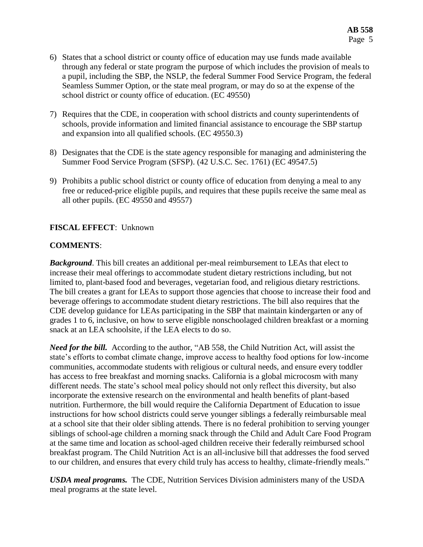- 6) States that a school district or county office of education may use funds made available through any federal or state program the purpose of which includes the provision of meals to a pupil, including the SBP, the NSLP, the federal Summer Food Service Program, the federal Seamless Summer Option, or the state meal program, or may do so at the expense of the school district or county office of education. (EC 49550)
- 7) Requires that the CDE, in cooperation with school districts and county superintendents of schools, provide information and limited financial assistance to encourage the SBP startup and expansion into all qualified schools. (EC 49550.3)
- 8) Designates that the CDE is the state agency responsible for managing and administering the Summer Food Service Program (SFSP). (42 U.S.C. Sec. 1761) (EC 49547.5)
- 9) Prohibits a public school district or county office of education from denying a meal to any free or reduced-price eligible pupils, and requires that these pupils receive the same meal as all other pupils. (EC 49550 and 49557)

### **FISCAL EFFECT**: Unknown

### **COMMENTS**:

*Background*. This bill creates an additional per-meal reimbursement to LEAs that elect to increase their meal offerings to accommodate student dietary restrictions including, but not limited to, plant-based food and beverages, vegetarian food, and religious dietary restrictions. The bill creates a grant for LEAs to support those agencies that choose to increase their food and beverage offerings to accommodate student dietary restrictions. The bill also requires that the CDE develop guidance for LEAs participating in the SBP that maintain kindergarten or any of grades 1 to 6, inclusive, on how to serve eligible nonschoolaged children breakfast or a morning snack at an LEA schoolsite, if the LEA elects to do so.

*Need for the bill.* According to the author, "AB 558, the Child Nutrition Act, will assist the state's efforts to combat climate change, improve access to healthy food options for low-income communities, accommodate students with religious or cultural needs, and ensure every toddler has access to free breakfast and morning snacks. California is a global microcosm with many different needs. The state's school meal policy should not only reflect this diversity, but also incorporate the extensive research on the environmental and health benefits of plant-based nutrition. Furthermore, the bill would require the California Department of Education to issue instructions for how school districts could serve younger siblings a federally reimbursable meal at a school site that their older sibling attends. There is no federal prohibition to serving younger siblings of school-age children a morning snack through the Child and Adult Care Food Program at the same time and location as school-aged children receive their federally reimbursed school breakfast program. The Child Nutrition Act is an all-inclusive bill that addresses the food served to our children, and ensures that every child truly has access to healthy, climate-friendly meals."

*USDA meal programs.* The CDE, Nutrition Services Division administers many of the USDA meal programs at the state level.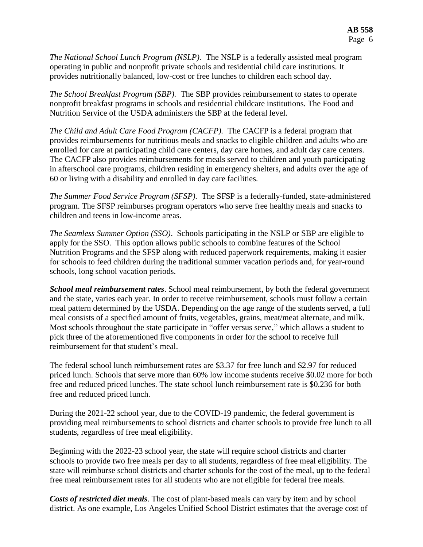*The National School Lunch Program (NSLP).* The NSLP is a federally assisted meal program operating in public and nonprofit private schools and residential child care institutions. It provides nutritionally balanced, low-cost or free lunches to children each school day.

*The School Breakfast Program (SBP).* The SBP provides reimbursement to states to operate nonprofit breakfast programs in schools and residential childcare institutions. The Food and Nutrition Service of the USDA administers the SBP at the federal level.

*The Child and Adult Care Food Program (CACFP).* The CACFP is a federal program that provides reimbursements for nutritious meals and snacks to eligible children and adults who are enrolled for care at participating child care centers, day care homes, and adult day care centers. The CACFP also provides reimbursements for meals served to children and youth participating in afterschool care programs, children residing in emergency shelters, and adults over the age of 60 or living with a disability and enrolled in day care facilities.

*The Summer Food Service Program (SFSP).*The SFSP is a federally-funded, state-administered program. The SFSP reimburses program operators who serve free healthy meals and snacks to children and teens in low-income areas.

*The Seamless Summer Option (SSO)*. Schools participating in the NSLP or SBP are eligible to apply for the SSO. This option allows public schools to combine features of the School Nutrition Programs and the SFSP along with reduced paperwork requirements, making it easier for schools to feed children during the traditional summer vacation periods and, for year-round schools, long school vacation periods.

*School meal reimbursement rates*. School meal reimbursement, by both the federal government and the state, varies each year. In order to receive reimbursement, schools must follow a certain meal pattern determined by the USDA. Depending on the age range of the students served, a full meal consists of a specified amount of fruits, vegetables, grains, meat/meat alternate, and milk. Most schools throughout the state participate in "offer versus serve," which allows a student to pick three of the aforementioned five components in order for the school to receive full reimbursement for that student's meal.

The federal school lunch reimbursement rates are \$3.37 for free lunch and \$2.97 for reduced priced lunch. Schools that serve more than 60% low income students receive \$0.02 more for both free and reduced priced lunches. The state school lunch reimbursement rate is \$0.236 for both free and reduced priced lunch.

During the 2021-22 school year, due to the COVID-19 pandemic, the federal government is providing meal reimbursements to school districts and charter schools to provide free lunch to all students, regardless of free meal eligibility.

Beginning with the 2022-23 school year, the state will require school districts and charter schools to provide two free meals per day to all students, regardless of free meal eligibility. The state will reimburse school districts and charter schools for the cost of the meal, up to the federal free meal reimbursement rates for all students who are not eligible for federal free meals.

*Costs of restricted diet meals*. The cost of plant-based meals can vary by item and by school district. As one example, Los Angeles Unified School District estimates that the average cost of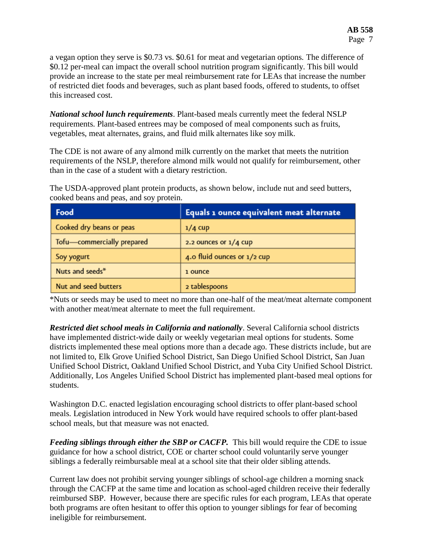a vegan option they serve is \$0.73 vs. \$0.61 for meat and vegetarian options. The difference of \$0.12 per-meal can impact the overall school nutrition program significantly. This bill would provide an increase to the state per meal reimbursement rate for LEAs that increase the number of restricted diet foods and beverages, such as plant based foods, offered to students, to offset this increased cost.

*National school lunch requirements*. Plant-based meals currently meet the federal NSLP requirements. Plant-based entrees may be composed of meal components such as fruits, vegetables, meat alternates, grains, and fluid milk alternates like soy milk.

The CDE is not aware of any almond milk currently on the market that meets the nutrition requirements of the NSLP, therefore almond milk would not qualify for reimbursement, other than in the case of a student with a dietary restriction.

The USDA-approved plant protein products, as shown below, include nut and seed butters, cooked beans and peas, and soy protein.

| Food                       | Equals 1 ounce equivalent meat alternate |
|----------------------------|------------------------------------------|
| Cooked dry beans or peas   | $1/4$ cup                                |
| Tofu-commercially prepared | 2.2 ounces or $1/4$ cup                  |
| Soy yogurt                 | 4.0 fluid ounces or 1/2 cup              |
| Nuts and seeds*            | 1 ounce                                  |
| Nut and seed butters       | 2 tablespoons                            |

\*Nuts or seeds may be used to meet no more than one-half of the meat/meat alternate component with another meat/meat alternate to meet the full requirement.

*Restricted diet school meals in California and nationally*. Several California school districts have implemented district-wide daily or weekly vegetarian meal options for students. Some districts implemented these meal options more than a decade ago. These districts include, but are not limited to, Elk Grove Unified School District, San Diego Unified School District, San Juan Unified School District, Oakland Unified School District, and Yuba City Unified School District. Additionally, Los Angeles Unified School District has implemented plant-based meal options for students.

Washington D.C. enacted legislation encouraging school districts to offer plant-based school meals. Legislation introduced in New York would have required schools to offer plant-based school meals, but that measure was not enacted.

*Feeding siblings through either the SBP or CACFP.* This bill would require the CDE to issue guidance for how a school district, COE or charter school could voluntarily serve younger siblings a federally reimbursable meal at a school site that their older sibling attends.

Current law does not prohibit serving younger siblings of school-age children a morning snack through the CACFP at the same time and location as school-aged children receive their federally reimbursed SBP. However, because there are specific rules for each program, LEAs that operate both programs are often hesitant to offer this option to younger siblings for fear of becoming ineligible for reimbursement.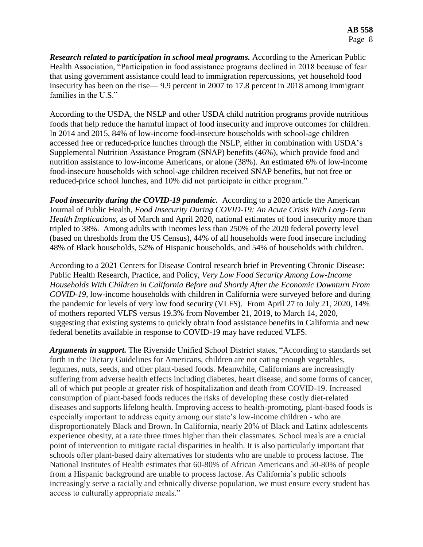**Research related to participation in school meal programs.** According to the American Public Health Association, "Participation in food assistance programs declined in 2018 because of fear that using government assistance could lead to immigration repercussions, yet household food insecurity has been on the rise— 9.9 percent in 2007 to 17.8 percent in 2018 among immigrant families in the U.S."

According to the USDA, the NSLP and other USDA child nutrition programs provide nutritious foods that help reduce the harmful impact of food insecurity and improve outcomes for children. In 2014 and 2015, 84% of low-income food-insecure households with school-age children accessed free or reduced-price lunches through the NSLP, either in combination with USDA's Supplemental Nutrition Assistance Program (SNAP) benefits (46%), which provide food and nutrition assistance to low-income Americans, or alone (38%). An estimated 6% of low-income food-insecure households with school-age children received SNAP benefits, but not free or reduced-price school lunches, and 10% did not participate in either program."

*Food insecurity during the COVID-19 pandemic.* According to a 2020 article the American Journal of Public Health, *Food Insecurity During COVID-19: An Acute Crisis With Long-Term Health Implications,* as of March and April 2020, national estimates of food insecurity more than tripled to 38%. Among adults with incomes less than 250% of the 2020 federal poverty level (based on thresholds from the US Census), 44% of all households were food insecure including 48% of Black households, 52% of Hispanic households, and 54% of households with children.

According to a 2021 Centers for Disease Control research brief in Preventing Chronic Disease: Public Health Research, Practice, and Policy, *Very Low Food Security Among Low-Income Households With Children in California Before and Shortly After the Economic Downturn From COVID-19*, low-income households with children in California were surveyed before and during the pandemic for levels of very low food security (VLFS). From April 27 to July 21, 2020, 14% of mothers reported VLFS versus 19.3% from November 21, 2019, to March 14, 2020, suggesting that existing systems to quickly obtain food assistance benefits in California and new federal benefits available in response to COVID-19 may have reduced VLFS.

*Arguments in support.* The Riverside Unified School District states, "According to standards set forth in the Dietary Guidelines for Americans, children are not eating enough vegetables, legumes, nuts, seeds, and other plant-based foods. Meanwhile, Californians are increasingly suffering from adverse health effects including diabetes, heart disease, and some forms of cancer, all of which put people at greater risk of hospitalization and death from COVID-19. Increased consumption of plant-based foods reduces the risks of developing these costly diet-related diseases and supports lifelong health. Improving access to health-promoting, plant-based foods is especially important to address equity among our state's low-income children - who are disproportionately Black and Brown. In California, nearly 20% of Black and Latinx adolescents experience obesity, at a rate three times higher than their classmates. School meals are a crucial point of intervention to mitigate racial disparities in health. It is also particularly important that schools offer plant-based dairy alternatives for students who are unable to process lactose. The National Institutes of Health estimates that 60-80% of African Americans and 50-80% of people from a Hispanic background are unable to process lactose. As California's public schools increasingly serve a racially and ethnically diverse population, we must ensure every student has access to culturally appropriate meals."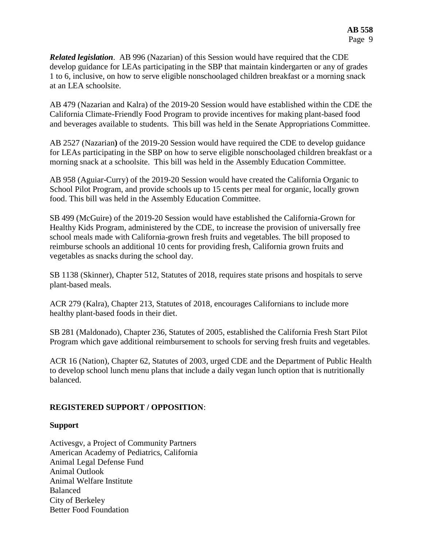*Related legislation*. AB 996 (Nazarian) of this Session would have required that the CDE develop guidance for LEAs participating in the SBP that maintain kindergarten or any of grades 1 to 6, inclusive, on how to serve eligible nonschoolaged children breakfast or a morning snack at an LEA schoolsite.

AB 479 (Nazarian and Kalra) of the 2019-20 Session would have established within the CDE the California Climate-Friendly Food Program to provide incentives for making plant-based food and beverages available to students. This bill was held in the Senate Appropriations Committee.

AB 2527 (Nazarian**)** of the 2019-20 Session would have required the CDE to develop guidance for LEAs participating in the SBP on how to serve eligible nonschoolaged children breakfast or a morning snack at a schoolsite. This bill was held in the Assembly Education Committee.

AB 958 (Aguiar-Curry) of the 2019-20 Session would have created the California Organic to School Pilot Program, and provide schools up to 15 cents per meal for organic, locally grown food. This bill was held in the Assembly Education Committee.

SB 499 (McGuire) of the 2019-20 Session would have established the California-Grown for Healthy Kids Program, administered by the CDE, to increase the provision of universally free school meals made with California-grown fresh fruits and vegetables. The bill proposed to reimburse schools an additional 10 cents for providing fresh, California grown fruits and vegetables as snacks during the school day.

SB 1138 (Skinner), Chapter 512, Statutes of 2018, requires state prisons and hospitals to serve plant-based meals.

ACR 279 (Kalra), Chapter 213, Statutes of 2018, encourages Californians to include more healthy plant-based foods in their diet.

SB 281 (Maldonado), Chapter 236, Statutes of 2005, established the California Fresh Start Pilot Program which gave additional reimbursement to schools for serving fresh fruits and vegetables.

ACR 16 (Nation), Chapter 62, Statutes of 2003, urged CDE and the Department of Public Health to develop school lunch menu plans that include a daily vegan lunch option that is nutritionally balanced.

## **REGISTERED SUPPORT / OPPOSITION**:

#### **Support**

Activesgv, a Project of Community Partners American Academy of Pediatrics, California Animal Legal Defense Fund Animal Outlook Animal Welfare Institute Balanced City of Berkeley Better Food Foundation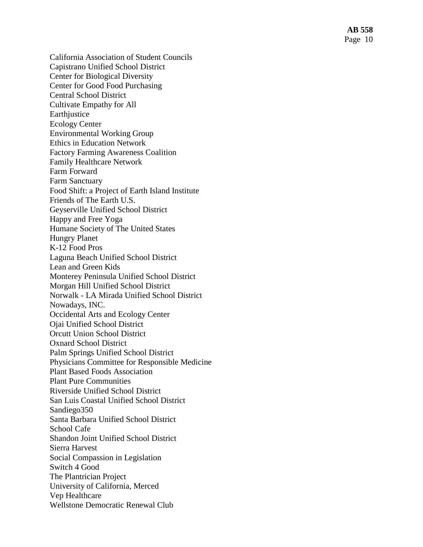California Association of Student Councils Capistrano Unified School District Center for Biological Diversity Center for Good Food Purchasing Central School District Cultivate Empathy for All Earthjustice Ecology Center Environmental Working Group Ethics in Education Network Factory Farming Awareness Coalition Family Healthcare Network Farm Forward Farm Sanctuary Food Shift: a Project of Earth Island Institute Friends of The Earth U.S . Geyserville Unified School District Happy and Free Yoga Humane Society of The United States Hungry Planet K-12 Food Pros Laguna Beach Unified School District Lean and Green Kids Monterey Peninsula Unified School District Morgan Hill Unified School District Norwalk - LA Mirada Unified School District Nowadays, INC. Occidental Arts and Ecology Center Ojai Unified School District Orcutt Union School District Oxnard School District Palm Springs Unified School District Physicians Committee for Responsible Medicine Plant Based Foods Association Plant Pure Communities Riverside Unified School District San Luis Coastal Unified School District Sandiego350 Santa Barbara Unified School District School Cafe Shandon Joint Unified School District Sierra Harvest Social Compassion in Legislation Switch 4 Good The Plantrician Project University of California, Merced Vep Healthcare Wellstone Democratic Renewal Club